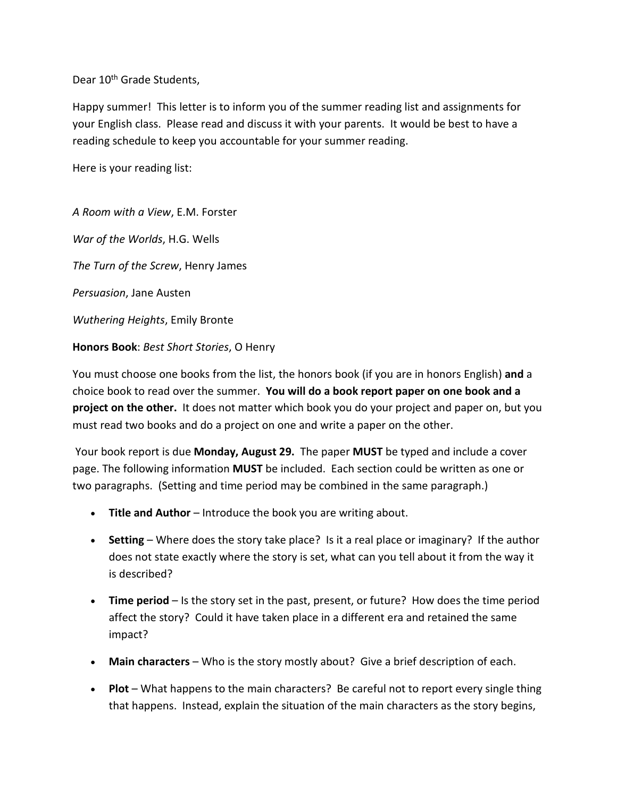Dear 10<sup>th</sup> Grade Students.

Happy summer! This letter is to inform you of the summer reading list and assignments for your English class. Please read and discuss it with your parents. It would be best to have a reading schedule to keep you accountable for your summer reading.

Here is your reading list:

*A Room with a View*, E.M. Forster

*War of the Worlds*, H.G. Wells

*The Turn of the Screw*, Henry James

*Persuasion*, Jane Austen

*Wuthering Heights*, Emily Bronte

**Honors Book**: *Best Short Stories*, O Henry

You must choose one books from the list, the honors book (if you are in honors English) **and** a choice book to read over the summer. **You will do a book report paper on one book and a project on the other.** It does not matter which book you do your project and paper on, but you must read two books and do a project on one and write a paper on the other.

Your book report is due **Monday, August 29.** The paper **MUST** be typed and include a cover page. The following information **MUST** be included. Each section could be written as one or two paragraphs. (Setting and time period may be combined in the same paragraph.)

- **Title and Author** Introduce the book you are writing about.
- **Setting** Where does the story take place? Is it a real place or imaginary? If the author does not state exactly where the story is set, what can you tell about it from the way it is described?
- **Time period** Is the story set in the past, present, or future? How does the time period affect the story? Could it have taken place in a different era and retained the same impact?
- **Main characters** Who is the story mostly about? Give a brief description of each.
- **Plot** What happens to the main characters? Be careful not to report every single thing that happens. Instead, explain the situation of the main characters as the story begins,